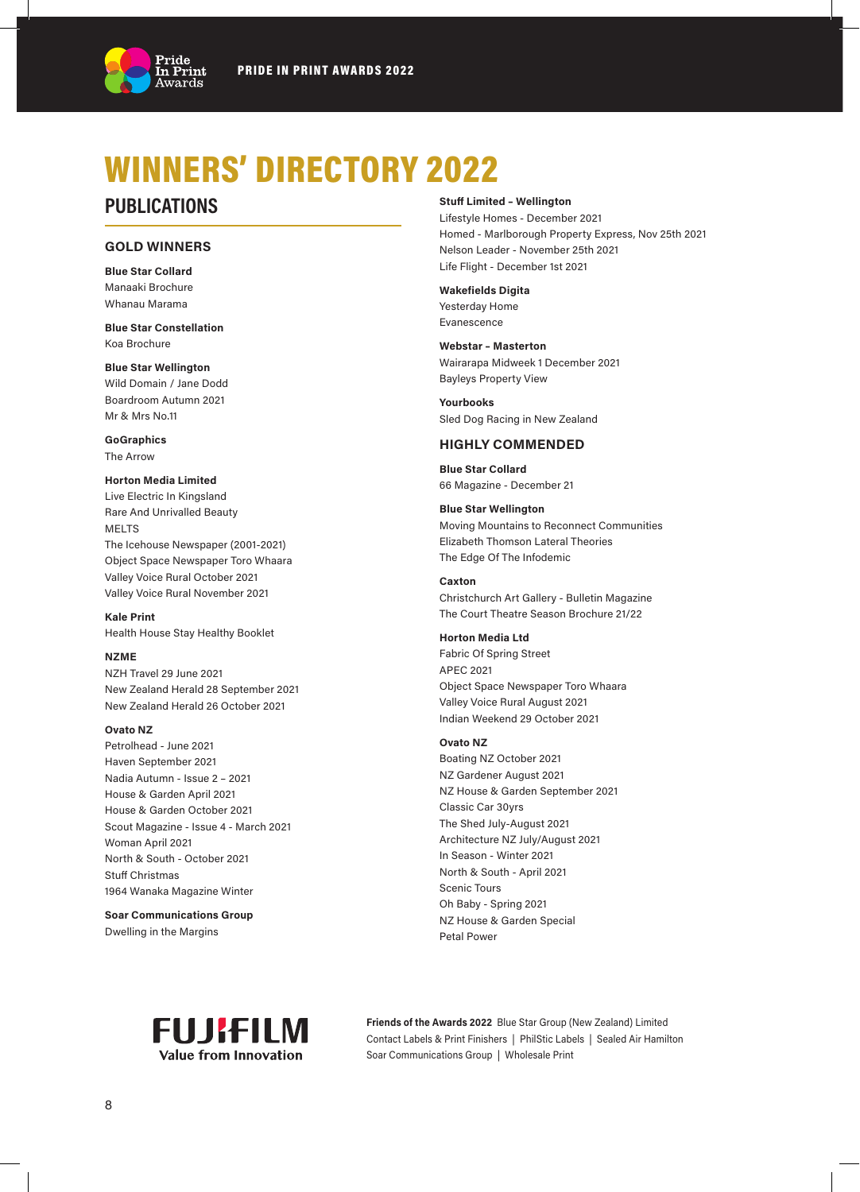

# WINNERS' DIRECTORY 2022

# **PUBLICATIONS**

### **GOLD WINNERS**

**Blue Star Collard** Manaaki Brochure Whanau Marama

**Blue Star Constellation** Koa Brochure

**Blue Star Wellington** Wild Domain / Jane Dodd Boardroom Autumn 2021 Mr & Mrs No.11

**GoGraphics** The Arrow

#### **Horton Media Limited**

Live Electric In Kingsland Rare And Unrivalled Beauty MELTS The Icehouse Newspaper (2001-2021) Object Space Newspaper Toro Whaara Valley Voice Rural October 2021 Valley Voice Rural November 2021

**Kale Print** Health House Stay Healthy Booklet

#### **NZME**

NZH Travel 29 June 2021 New Zealand Herald 28 September 2021 New Zealand Herald 26 October 2021

#### **Ovato NZ**

Petrolhead - June 2021 Haven September 2021 Nadia Autumn - Issue 2 – 2021 House & Garden April 2021 House & Garden October 2021 Scout Magazine - Issue 4 - March 2021 Woman April 2021 North & South - October 2021 Stuff Christmas 1964 Wanaka Magazine Winter

**Soar Communications Group** Dwelling in the Margins

### **Stuff Limited – Wellington**

Lifestyle Homes - December 2021 Homed - Marlborough Property Express, Nov 25th 2021 Nelson Leader - November 25th 2021 Life Flight - December 1st 2021

**Wakefields Digita** Yesterday Home Evanescence

#### **Webstar – Masterton**

Wairarapa Midweek 1 December 2021 Bayleys Property View

**Yourbooks** Sled Dog Racing in New Zealand

#### **HIGHLY COMMENDED**

**Blue Star Collard** 66 Magazine - December 21

#### **Blue Star Wellington**

Moving Mountains to Reconnect Communities Elizabeth Thomson Lateral Theories The Edge Of The Infodemic

#### **Caxton**

Christchurch Art Gallery - Bulletin Magazine The Court Theatre Season Brochure 21/22

#### **Horton Media Ltd**

Fabric Of Spring Street APEC 2021 Object Space Newspaper Toro Whaara Valley Voice Rural August 2021 Indian Weekend 29 October 2021

#### **Ovato NZ**

Boating NZ October 2021 NZ Gardener August 2021 NZ House & Garden September 2021 Classic Car 30yrs The Shed July-August 2021 Architecture NZ July/August 2021 In Season - Winter 2021 North & South - April 2021 Scenic Tours Oh Baby - Spring 2021 NZ House & Garden Special Petal Power



**Friends of the Awards 2022** Blue Star Group (New Zealand) Limited Contact Labels & Print Finishers | PhilStic Labels | Sealed Air Hamilton Soar Communications Group | Wholesale Print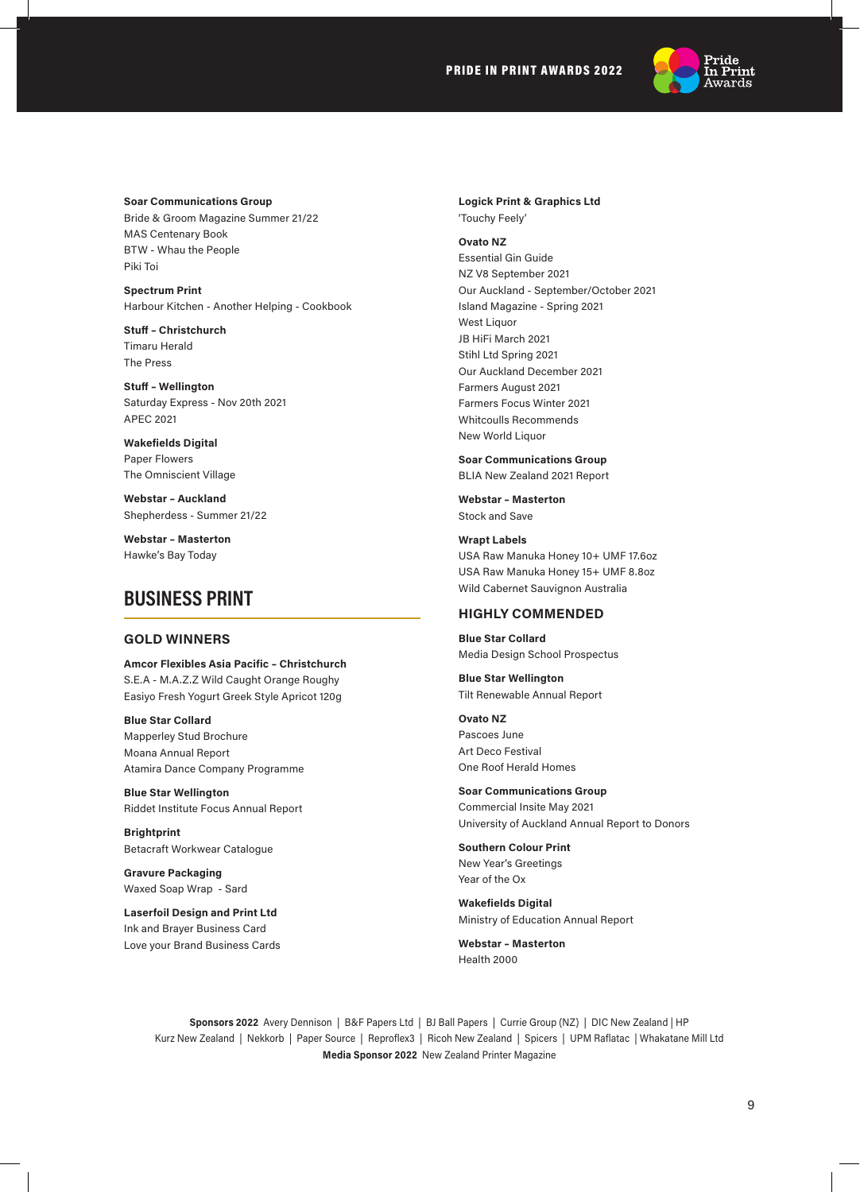### PRIDE IN PRINT AWARDS 2022



**Soar Communications Group**

Bride & Groom Magazine Summer 21/22 MAS Centenary Book BTW - Whau the People Piki Toi

**Spectrum Print** Harbour Kitchen - Another Helping - Cookbook

**Stuff – Christchurch** Timaru Herald The Press

**Stuff – Wellington** Saturday Express - Nov 20th 2021 APEC 2021

**Wakefields Digital** Paper Flowers The Omniscient Village

**Webstar – Auckland** Shepherdess - Summer 21/22

**Webstar – Masterton** Hawke's Bay Today

# **BUSINESS PRINT**

#### **GOLD WINNERS**

**Amcor Flexibles Asia Pacific – Christchurch** S.E.A - M.A.Z.Z Wild Caught Orange Roughy Easiyo Fresh Yogurt Greek Style Apricot 120g

**Blue Star Collard** Mapperley Stud Brochure Moana Annual Report Atamira Dance Company Programme

**Blue Star Wellington** Riddet Institute Focus Annual Report

**Brightprint**  Betacraft Workwear Catalogue

**Gravure Packaging** Waxed Soap Wrap - Sard

**Laserfoil Design and Print Ltd** Ink and Brayer Business Card Love your Brand Business Cards **Logick Print & Graphics Ltd** 'Touchy Feely'

#### **Ovato NZ**

Essential Gin Guide NZ V8 September 2021 Our Auckland - September/October 2021 Island Magazine - Spring 2021 West Liquor JB HiFi March 2021 Stihl Ltd Spring 2021 Our Auckland December 2021 Farmers August 2021 Farmers Focus Winter 2021 Whitcoulls Recommends New World Liquor

**Soar Communications Group**

BLIA New Zealand 2021 Report

**Webstar – Masterton** Stock and Save

**Wrapt Labels** USA Raw Manuka Honey 10+ UMF 17.6oz USA Raw Manuka Honey 15+ UMF 8.8oz Wild Cabernet Sauvignon Australia

#### **HIGHLY COMMENDED**

**Blue Star Collard** Media Design School Prospectus

**Blue Star Wellington** Tilt Renewable Annual Report

**Ovato NZ**  Pascoes June Art Deco Festival One Roof Herald Homes

**Soar Communications Group** Commercial Insite May 2021 University of Auckland Annual Report to Donors

**Southern Colour Print** New Year's Greetings Year of the Ox

**Wakefields Digital** Ministry of Education Annual Report

**Webstar – Masterton** Health 2000

**Sponsors 2022** Avery Dennison | B&F Papers Ltd | BJ Ball Papers | Currie Group (NZ) | DIC New Zealand | HP Kurz New Zealand | Nekkorb | Paper Source | Reproflex3 | Ricoh New Zealand | Spicers | UPM Raflatac | Whakatane Mill Ltd **Media Sponsor 2022** New Zealand Printer Magazine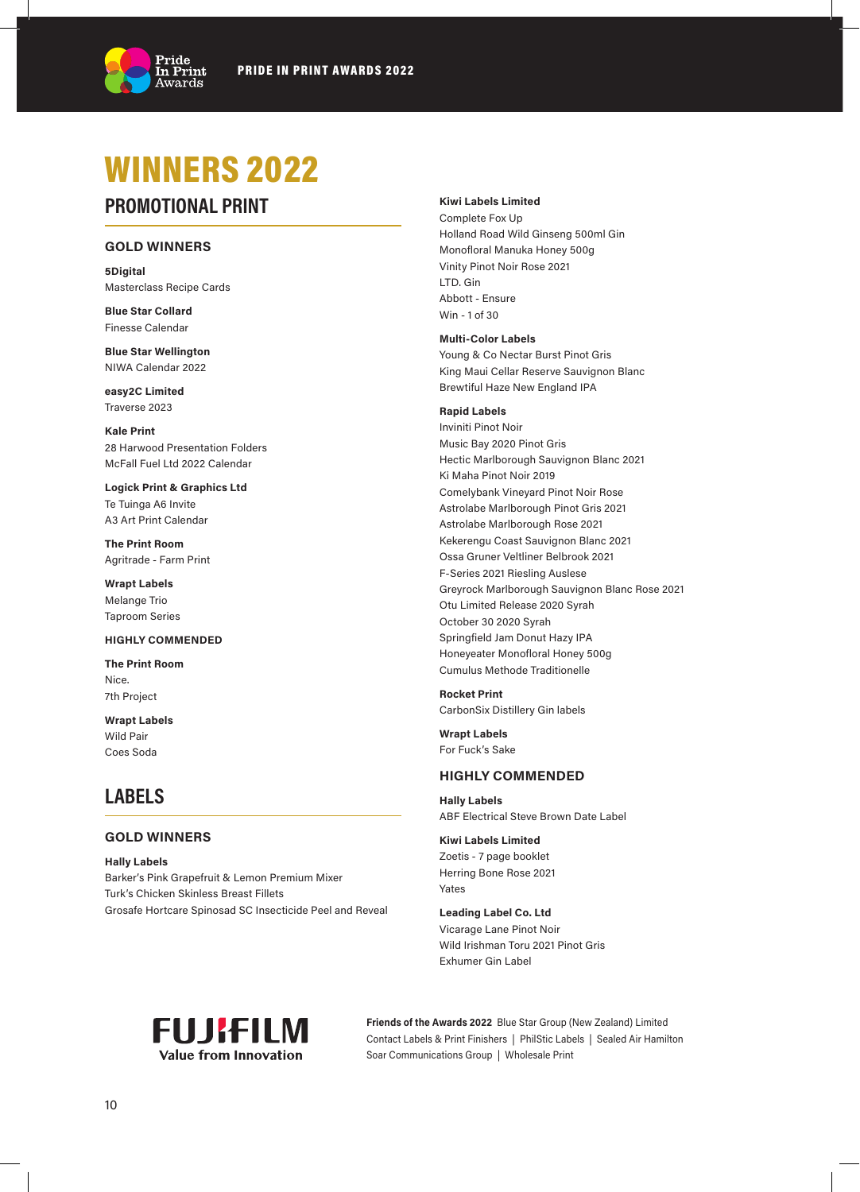

# WINNERS 2022

# **PROMOTIONAL PRINT**

## **GOLD WINNERS**

**5Digital** Masterclass Recipe Cards

**Blue Star Collard** Finesse Calendar

**Blue Star Wellington** NIWA Calendar 2022

**easy2C Limited** Traverse 2023

**Kale Print** 28 Harwood Presentation Folders McFall Fuel Ltd 2022 Calendar

**Logick Print & Graphics Ltd** Te Tuinga A6 Invite A3 Art Print Calendar

**The Print Room** Agritrade - Farm Print

**Wrapt Labels** Melange Trio Taproom Series

#### **HIGHLY COMMENDED**

**The Print Room** Nice. 7th Project

**Wrapt Labels** Wild Pair Coes Soda

# **LABELS**

### **GOLD WINNERS**

**Hally Labels** Barker's Pink Grapefruit & Lemon Premium Mixer Turk's Chicken Skinless Breast Fillets Grosafe Hortcare Spinosad SC Insecticide Peel and Reveal

#### **Kiwi Labels Limited**

Complete Fox Up Holland Road Wild Ginseng 500ml Gin Monofloral Manuka Honey 500g Vinity Pinot Noir Rose 2021 LTD. Gin Abbott - Ensure Win - 1 of 30

#### **Multi-Color Labels**

Young & Co Nectar Burst Pinot Gris King Maui Cellar Reserve Sauvignon Blanc Brewtiful Haze New England IPA

#### **Rapid Labels**

Inviniti Pinot Noir Music Bay 2020 Pinot Gris Hectic Marlborough Sauvignon Blanc 2021 Ki Maha Pinot Noir 2019 Comelybank Vineyard Pinot Noir Rose Astrolabe Marlborough Pinot Gris 2021 Astrolabe Marlborough Rose 2021 Kekerengu Coast Sauvignon Blanc 2021 Ossa Gruner Veltliner Belbrook 2021 F-Series 2021 Riesling Auslese Greyrock Marlborough Sauvignon Blanc Rose 2021 Otu Limited Release 2020 Syrah October 30 2020 Syrah Springfield Jam Donut Hazy IPA Honeyeater Monofloral Honey 500g Cumulus Methode Traditionelle

**Rocket Print** CarbonSix Distillery Gin labels

**Wrapt Labels** For Fuck's Sake

#### **HIGHLY COMMENDED**

**Hally Labels** ABF Electrical Steve Brown Date Label

# **Kiwi Labels Limited**

Zoetis - 7 page booklet Herring Bone Rose 2021 Yates

**Leading Label Co. Ltd** Vicarage Lane Pinot Noir Wild Irishman Toru 2021 Pinot Gris Exhumer Gin Label



**Friends of the Awards 2022** Blue Star Group (New Zealand) Limited Contact Labels & Print Finishers | PhilStic Labels | Sealed Air Hamilton Soar Communications Group | Wholesale Print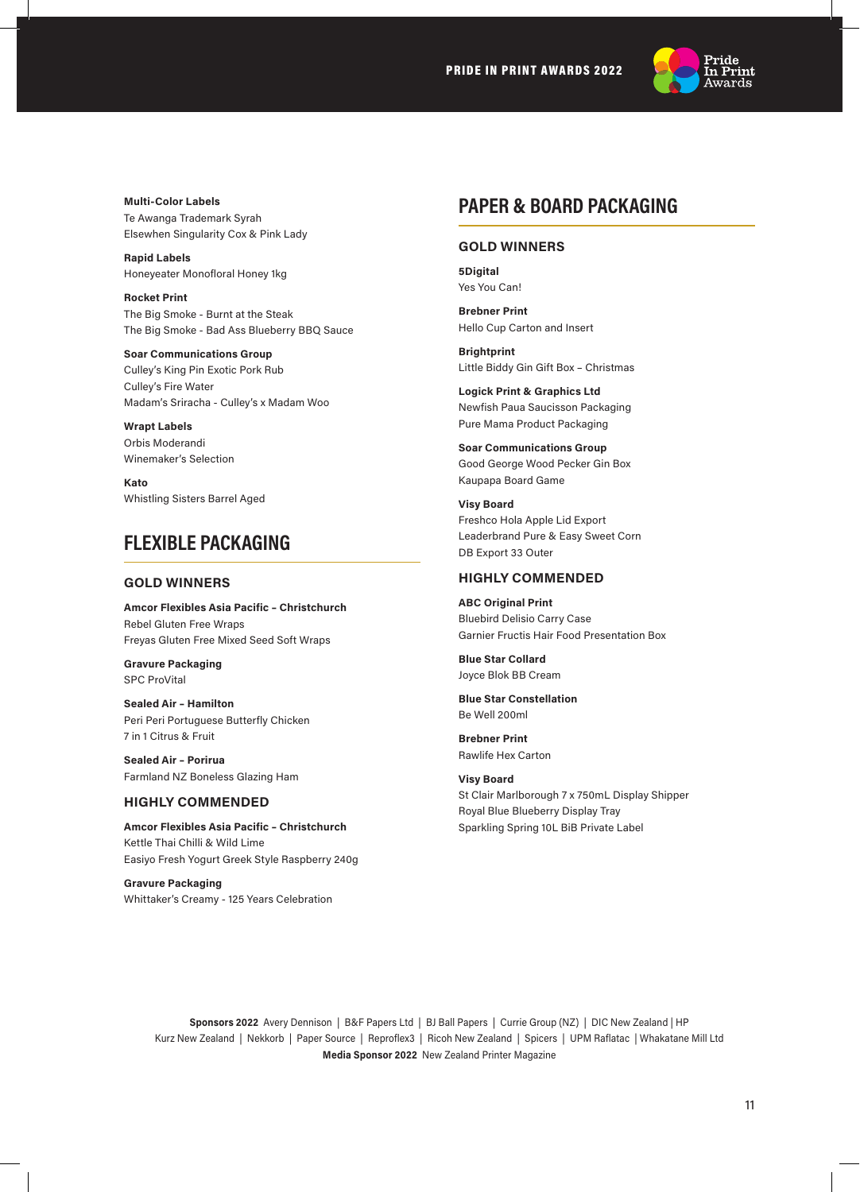PRIDE IN PRINT AWARDS 2022



**Multi-Color Labels** Te Awanga Trademark Syrah Elsewhen Singularity Cox & Pink Lady

**Rapid Labels** Honeyeater Monofloral Honey 1kg

**Rocket Print** The Big Smoke - Burnt at the Steak The Big Smoke - Bad Ass Blueberry BBQ Sauce

**Soar Communications Group** Culley's King Pin Exotic Pork Rub Culley's Fire Water Madam's Sriracha - Culley's x Madam Woo

**Wrapt Labels** Orbis Moderandi Winemaker's Selection

**Kato** Whistling Sisters Barrel Aged

# **FLEXIBLE PACKAGING**

#### **GOLD WINNERS**

**Amcor Flexibles Asia Pacific – Christchurch** Rebel Gluten Free Wraps Freyas Gluten Free Mixed Seed Soft Wraps

**Gravure Packaging** SPC ProVital

**Sealed Air – Hamilton** Peri Peri Portuguese Butterfly Chicken 7 in 1 Citrus & Fruit

**Sealed Air – Porirua** Farmland NZ Boneless Glazing Ham

### **HIGHLY COMMENDED**

**Amcor Flexibles Asia Pacific – Christchurch** Kettle Thai Chilli & Wild Lime Easiyo Fresh Yogurt Greek Style Raspberry 240g

**Gravure Packaging** Whittaker's Creamy - 125 Years Celebration

# **PAPER & BOARD PACKAGING**

## **GOLD WINNERS**

**5Digital** Yes You Can!

**Brebner Print** Hello Cup Carton and Insert

**Brightprint**  Little Biddy Gin Gift Box – Christmas

**Logick Print & Graphics Ltd** Newfish Paua Saucisson Packaging Pure Mama Product Packaging

**Soar Communications Group** Good George Wood Pecker Gin Box Kaupapa Board Game

**Visy Board** Freshco Hola Apple Lid Export Leaderbrand Pure & Easy Sweet Corn DB Export 33 Outer

### **HIGHLY COMMENDED**

**ABC Original Print** Bluebird Delisio Carry Case Garnier Fructis Hair Food Presentation Box

**Blue Star Collard** Joyce Blok BB Cream

**Blue Star Constellation** Be Well 200ml

**Brebner Print** Rawlife Hex Carton

**Visy Board** St Clair Marlborough 7 x 750mL Display Shipper Royal Blue Blueberry Display Tray Sparkling Spring 10L BiB Private Label

**Sponsors 2022** Avery Dennison | B&F Papers Ltd | BJ Ball Papers | Currie Group (NZ) | DIC New Zealand | HP Kurz New Zealand | Nekkorb | Paper Source | Reproflex3 | Ricoh New Zealand | Spicers | UPM Raflatac | Whakatane Mill Ltd **Media Sponsor 2022** New Zealand Printer Magazine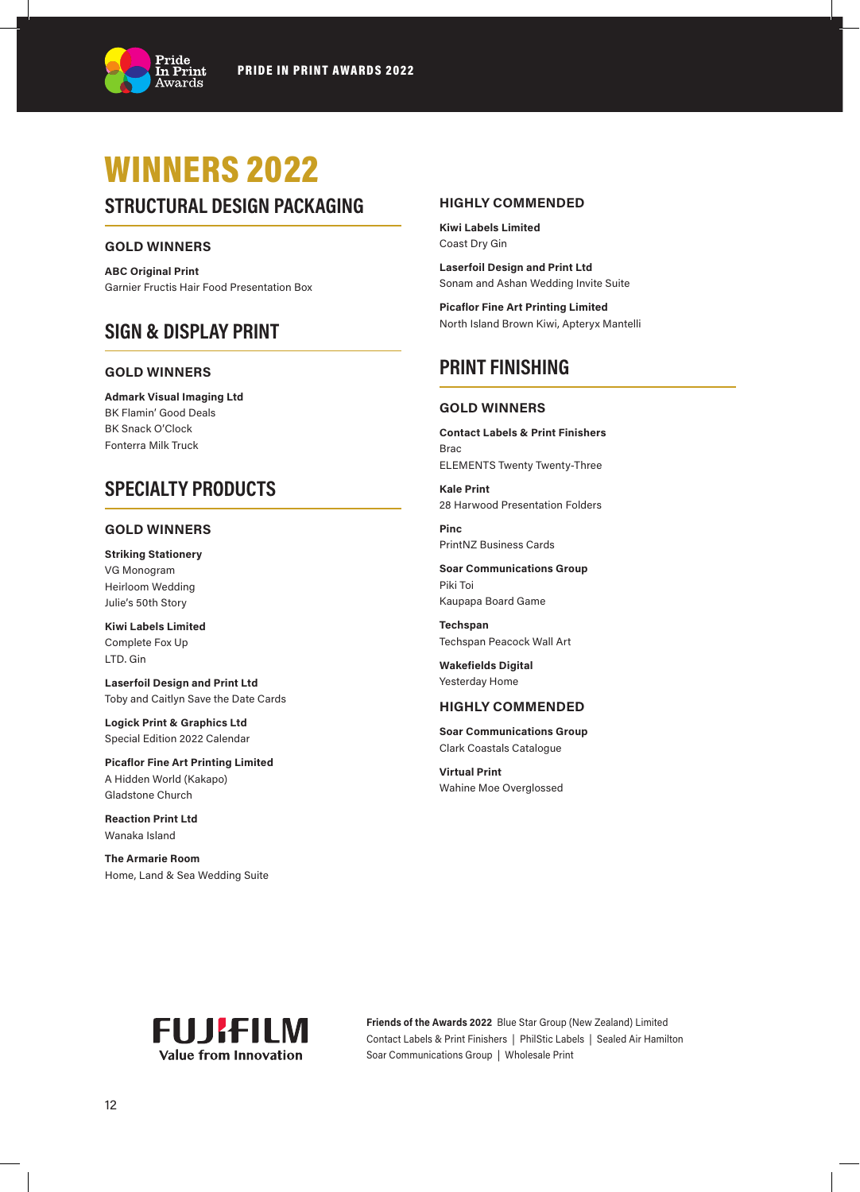

# WINNERS 2022

# **STRUCTURAL DESIGN PACKAGING**

### **GOLD WINNERS**

**ABC Original Print**  Garnier Fructis Hair Food Presentation Box

# **SIGN & DISPLAY PRINT**

#### **GOLD WINNERS**

**Admark Visual Imaging Ltd** BK Flamin' Good Deals BK Snack O'Clock Fonterra Milk Truck

# **SPECIALTY PRODUCTS**

### **GOLD WINNERS**

**Striking Stationery** VG Monogram Heirloom Wedding Julie's 50th Story

**Kiwi Labels Limited** Complete Fox Up LTD. Gin

**Laserfoil Design and Print Ltd** Toby and Caitlyn Save the Date Cards

**Logick Print & Graphics Ltd** Special Edition 2022 Calendar

**Picaflor Fine Art Printing Limited** A Hidden World (Kakapo) Gladstone Church

**Reaction Print Ltd** Wanaka Island

**The Armarie Room** Home, Land & Sea Wedding Suite

## **HIGHLY COMMENDED**

**Kiwi Labels Limited** Coast Dry Gin

**Laserfoil Design and Print Ltd** Sonam and Ashan Wedding Invite Suite

**Picaflor Fine Art Printing Limited** North Island Brown Kiwi, Apteryx Mantelli

# **PRINT FINISHING**

### **GOLD WINNERS**

**Contact Labels & Print Finishers** Brac ELEMENTS Twenty Twenty-Three

**Kale Print** 28 Harwood Presentation Folders

**Pinc** PrintNZ Business Cards

**Soar Communications Group** Piki Toi Kaupapa Board Game

**Techspan** Techspan Peacock Wall Art

**Wakefields Digital** Yesterday Home

### **HIGHLY COMMENDED**

**Soar Communications Group** Clark Coastals Catalogue

**Virtual Print** Wahine Moe Overglossed



**Friends of the Awards 2022** Blue Star Group (New Zealand) Limited Contact Labels & Print Finishers | PhilStic Labels | Sealed Air Hamilton Soar Communications Group | Wholesale Print